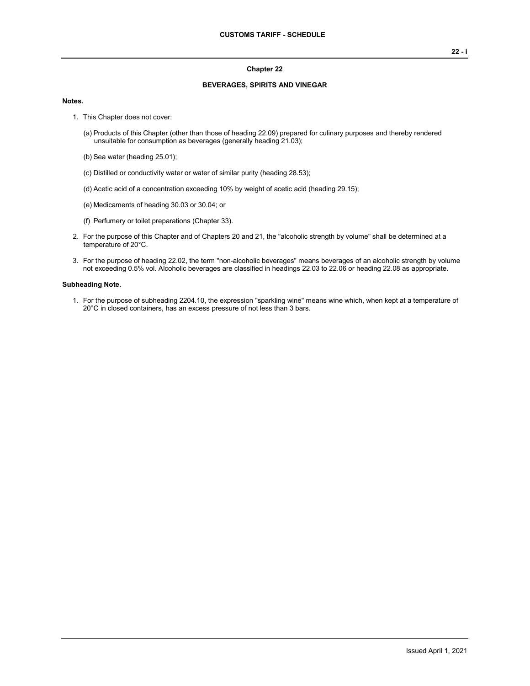#### **Chapter 22**

### **BEVERAGES, SPIRITS AND VINEGAR**

#### **Notes.**

- 1. This Chapter does not cover:
	- (a) Products of this Chapter (other than those of heading 22.09) prepared for culinary purposes and thereby rendered unsuitable for consumption as beverages (generally heading 21.03);
	- (b) Sea water (heading 25.01);
	- (c) Distilled or conductivity water or water of similar purity (heading 28.53);
	- (d) Acetic acid of a concentration exceeding 10% by weight of acetic acid (heading 29.15);
	- (e) Medicaments of heading 30.03 or 30.04; or
	- (f) Perfumery or toilet preparations (Chapter 33).
- 2. For the purpose of this Chapter and of Chapters 20 and 21, the "alcoholic strength by volume" shall be determined at a temperature of 20°C.
- 3. For the purpose of heading 22.02, the term "non-alcoholic beverages" means beverages of an alcoholic strength by volume not exceeding 0.5% vol. Alcoholic beverages are classified in headings 22.03 to 22.06 or heading 22.08 as appropriate.

#### **Subheading Note.**

1. For the purpose of subheading 2204.10, the expression "sparkling wine" means wine which, when kept at a temperature of 20°C in closed containers, has an excess pressure of not less than 3 bars.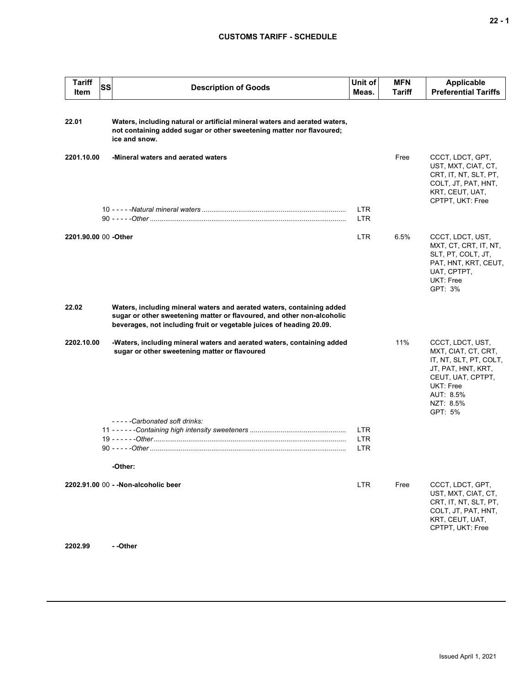| <b>Tariff</b><br>Item | <b>SS</b> | <b>Description of Goods</b>                                                                                                                                                                                             | Unit of<br>Meas.         | <b>MFN</b><br>Tariff | Applicable<br><b>Preferential Tariffs</b>                                                                                                                      |
|-----------------------|-----------|-------------------------------------------------------------------------------------------------------------------------------------------------------------------------------------------------------------------------|--------------------------|----------------------|----------------------------------------------------------------------------------------------------------------------------------------------------------------|
| 22.01                 |           | Waters, including natural or artificial mineral waters and aerated waters,<br>not containing added sugar or other sweetening matter nor flavoured;<br>ice and snow.                                                     |                          |                      |                                                                                                                                                                |
| 2201.10.00            |           | -Mineral waters and aerated waters                                                                                                                                                                                      |                          | Free                 | CCCT, LDCT, GPT,<br>UST, MXT, CIAT, CT,<br>CRT, IT, NT, SLT, PT,<br>COLT, JT, PAT, HNT,<br>KRT, CEUT, UAT,<br>CPTPT, UKT: Free                                 |
|                       |           |                                                                                                                                                                                                                         | LTR.<br>LTR              |                      |                                                                                                                                                                |
| 2201.90.00 00 -Other  |           |                                                                                                                                                                                                                         | LTR.                     | 6.5%                 | CCCT, LDCT, UST,<br>MXT, CT, CRT, IT, NT,<br>SLT, PT, COLT, JT,<br>PAT, HNT, KRT, CEUT,<br>UAT, CPTPT,<br>UKT: Free<br>GPT: 3%                                 |
| 22.02                 |           | Waters, including mineral waters and aerated waters, containing added<br>sugar or other sweetening matter or flavoured, and other non-alcoholic<br>beverages, not including fruit or vegetable juices of heading 20.09. |                          |                      |                                                                                                                                                                |
| 2202.10.00            |           | -Waters, including mineral waters and aerated waters, containing added<br>sugar or other sweetening matter or flavoured                                                                                                 |                          | 11%                  | CCCT, LDCT, UST,<br>MXT, CIAT, CT, CRT,<br>IT, NT, SLT, PT, COLT,<br>JT, PAT, HNT, KRT,<br>CEUT, UAT, CPTPT,<br>UKT: Free<br>AUT: 8.5%<br>NZT: 8.5%<br>GPT: 5% |
|                       |           | -----Carbonated soft drinks:                                                                                                                                                                                            |                          |                      |                                                                                                                                                                |
|                       |           |                                                                                                                                                                                                                         | <b>LTR</b><br><b>LTR</b> |                      |                                                                                                                                                                |
|                       |           |                                                                                                                                                                                                                         | LTR                      |                      |                                                                                                                                                                |
|                       |           |                                                                                                                                                                                                                         |                          |                      |                                                                                                                                                                |
|                       |           | -Other:                                                                                                                                                                                                                 |                          |                      |                                                                                                                                                                |
|                       |           | 2202.91.00 00 - - Non-alcoholic beer                                                                                                                                                                                    | <b>LTR</b>               | Free                 | CCCT, LDCT, GPT,<br>UST, MXT, CIAT, CT,<br>CRT, IT, NT, SLT, PT,<br>COLT, JT, PAT, HNT,<br>KRT, CEUT, UAT,<br>CPTPT, UKT: Free                                 |

**2202.99 - -Other**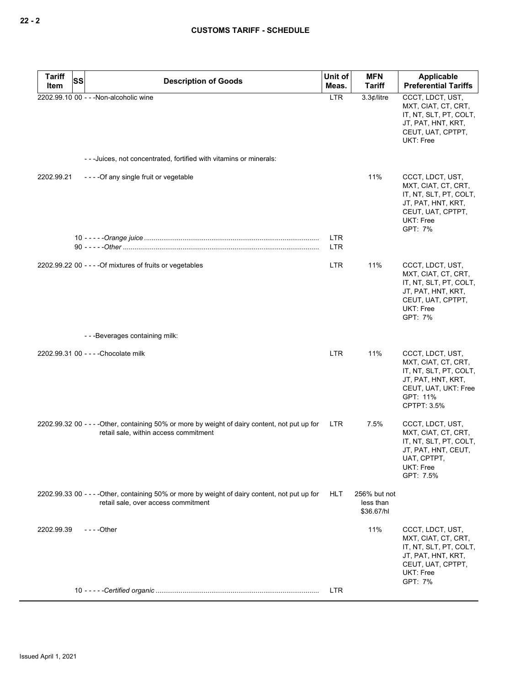| <b>Tariff</b><br>SS | <b>Description of Goods</b>                                                                                                             | Unit of                  | <b>MFN</b>                              | <b>Applicable</b>                                                                                                                          |
|---------------------|-----------------------------------------------------------------------------------------------------------------------------------------|--------------------------|-----------------------------------------|--------------------------------------------------------------------------------------------------------------------------------------------|
| Item                | 2202.99.10 00 - - - Non-alcoholic wine                                                                                                  | Meas.<br><b>LTR</b>      | <b>Tariff</b><br>3.3¢/litre             | <b>Preferential Tariffs</b><br>CCCT, LDCT, UST,                                                                                            |
|                     |                                                                                                                                         |                          |                                         | MXT, CIAT, CT, CRT,<br>IT, NT, SLT, PT, COLT,<br>JT, PAT, HNT, KRT,<br>CEUT, UAT, CPTPT,<br>UKT: Free                                      |
|                     | - - - Juices, not concentrated, fortified with vitamins or minerals:                                                                    |                          |                                         |                                                                                                                                            |
| 2202.99.21          | ----Of any single fruit or vegetable                                                                                                    |                          | 11%                                     | CCCT, LDCT, UST,<br>MXT, CIAT, CT, CRT,<br>IT, NT, SLT, PT, COLT,<br>JT, PAT, HNT, KRT,<br>CEUT, UAT, CPTPT,<br>UKT: Free<br>GPT: 7%       |
|                     |                                                                                                                                         | <b>LTR</b><br><b>LTR</b> |                                         |                                                                                                                                            |
|                     | 2202.99.22 00 - - - - Of mixtures of fruits or vegetables                                                                               | <b>LTR</b>               | 11%                                     | CCCT, LDCT, UST,<br>MXT, CIAT, CT, CRT,<br>IT, NT, SLT, PT, COLT,<br>JT, PAT, HNT, KRT,<br>CEUT, UAT, CPTPT,<br>UKT: Free<br>GPT: 7%       |
|                     | - - - Beverages containing milk:                                                                                                        |                          |                                         |                                                                                                                                            |
|                     | 2202.99.31 00 - - - - Chocolate milk                                                                                                    | <b>LTR</b>               | 11%                                     | CCCT, LDCT, UST,<br>MXT, CIAT, CT, CRT,<br>IT, NT, SLT, PT, COLT,<br>JT, PAT, HNT, KRT,<br>CEUT, UAT, UKT: Free<br>GPT: 11%<br>CPTPT: 3.5% |
|                     | 2202.99.32 00 - - - - Other, containing 50% or more by weight of dairy content, not put up for<br>retail sale, within access commitment | LTR                      | 7.5%                                    | CCCT, LDCT, UST,<br>MXT, CIAT, CT, CRT,<br>IT, NT, SLT, PT, COLT,<br>JT, PAT, HNT, CEUT,<br>UAT, CPTPT,<br>UKT: Free<br>GPT: 7.5%          |
|                     | 2202.99.33 00 - - - - Other, containing 50% or more by weight of dairy content, not put up for<br>retail sale, over access commitment   | <b>HLT</b>               | 256% but not<br>less than<br>\$36.67/hl |                                                                                                                                            |
| 2202.99.39          | - - - - Other                                                                                                                           |                          | 11%                                     | CCCT, LDCT, UST,<br>MXT, CIAT, CT, CRT,<br>IT, NT, SLT, PT, COLT,<br>JT, PAT, HNT, KRT,<br>CEUT, UAT, CPTPT,<br>UKT: Free<br>GPT: 7%       |
|                     |                                                                                                                                         | LTR.                     |                                         |                                                                                                                                            |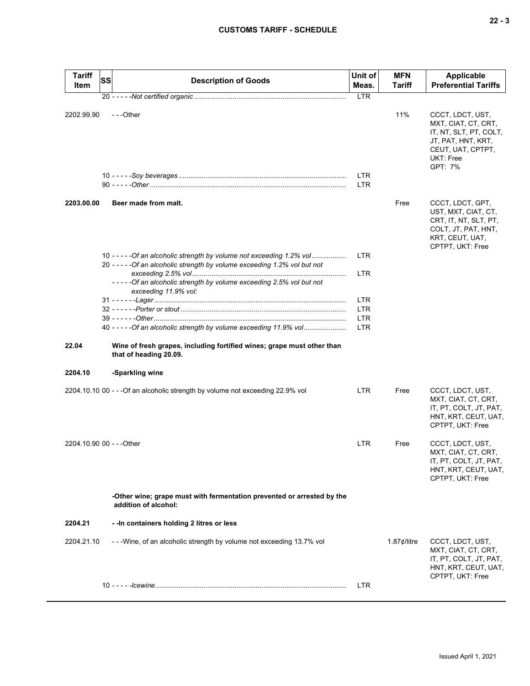| <b>Tariff</b><br>Item     | SS | <b>Description of Goods</b>                                                                                         | Unit of<br>Meas.         | <b>MFN</b><br>Tariff  | Applicable<br><b>Preferential Tariffs</b>                                                                                            |
|---------------------------|----|---------------------------------------------------------------------------------------------------------------------|--------------------------|-----------------------|--------------------------------------------------------------------------------------------------------------------------------------|
|                           |    |                                                                                                                     | <b>LTR</b>               |                       |                                                                                                                                      |
| 2202.99.90                |    | ---Other                                                                                                            | <b>LTR</b>               | 11%                   | CCCT, LDCT, UST,<br>MXT, CIAT, CT, CRT,<br>IT, NT, SLT, PT, COLT,<br>JT, PAT, HNT, KRT,<br>CEUT, UAT, CPTPT,<br>UKT: Free<br>GPT: 7% |
|                           |    |                                                                                                                     | <b>LTR</b>               |                       |                                                                                                                                      |
| 2203.00.00                |    | Beer made from malt.                                                                                                |                          | Free                  | CCCT, LDCT, GPT,<br>UST, MXT, CIAT, CT,<br>CRT, IT, NT, SLT, PT,<br>COLT, JT, PAT, HNT,<br>KRT, CEUT, UAT,<br>CPTPT, UKT: Free       |
|                           |    | 10 - - - - - Of an alcoholic strength by volume not exceeding 1.2% vol                                              | <b>LTR</b>               |                       |                                                                                                                                      |
|                           |    | 20 - - - - - Of an alcoholic strength by volume exceeding 1.2% vol but not                                          |                          |                       |                                                                                                                                      |
|                           |    | -----Of an alcoholic strength by volume exceeding 2.5% vol but not<br>exceeding 11.9% vol:                          | <b>LTR</b>               |                       |                                                                                                                                      |
|                           |    |                                                                                                                     | <b>LTR</b>               |                       |                                                                                                                                      |
|                           |    |                                                                                                                     | <b>LTR</b>               |                       |                                                                                                                                      |
|                           |    | 40 - - - - - Of an alcoholic strength by volume exceeding 11.9% vol                                                 | <b>LTR</b><br><b>LTR</b> |                       |                                                                                                                                      |
| 22.04<br>2204.10          |    | Wine of fresh grapes, including fortified wines; grape must other than<br>that of heading 20.09.<br>-Sparkling wine |                          |                       |                                                                                                                                      |
|                           |    |                                                                                                                     |                          |                       |                                                                                                                                      |
|                           |    | 2204.10.10 00 - - - Of an alcoholic strength by volume not exceeding 22.9% vol                                      | <b>LTR</b>               | Free                  | CCCT, LDCT, UST,<br>MXT, CIAT, CT, CRT,<br>IT, PT, COLT, JT, PAT,<br>HNT, KRT, CEUT, UAT,<br>CPTPT, UKT: Free                        |
| 2204.10.90 00 - - - Other |    |                                                                                                                     | <b>LTR</b>               | Free                  | CCCT, LDCT, UST,<br>MXT, CIAT, CT, CRT,<br>IT, PT, COLT, JT, PAT,<br>HNT, KRT, CEUT, UAT,<br>CPTPT, UKT: Free                        |
|                           |    | -Other wine; grape must with fermentation prevented or arrested by the<br>addition of alcohol:                      |                          |                       |                                                                                                                                      |
| 2204.21                   |    | - - In containers holding 2 litres or less                                                                          |                          |                       |                                                                                                                                      |
| 2204.21.10                |    | ---Wine, of an alcoholic strength by volume not exceeding 13.7% vol                                                 |                          | 1.87 $\not\in$ /litre | CCCT, LDCT, UST,<br>MXT, CIAT, CT, CRT,<br>IT, PT, COLT, JT, PAT,<br>HNT, KRT, CEUT, UAT,                                            |
|                           |    |                                                                                                                     | LTR.                     |                       | CPTPT, UKT: Free                                                                                                                     |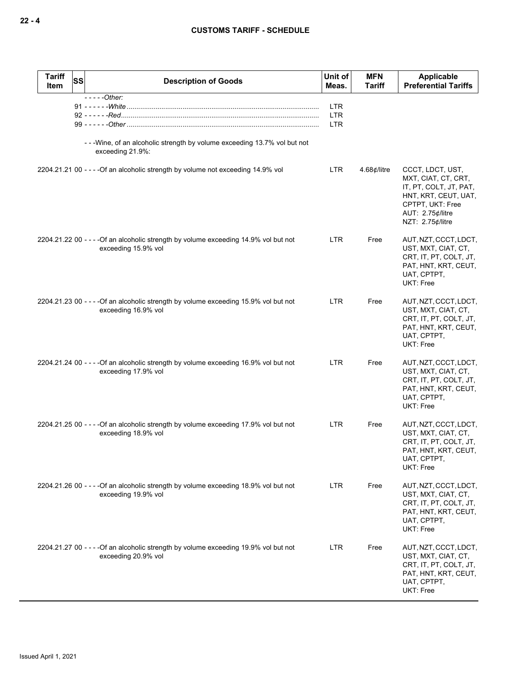### **CUSTOMS TARIFF - SCHEDULE**

| <b>Tariff</b><br>ssl<br>Item | <b>Description of Goods</b>                                                                                 | Unit of<br>Meas.                       | <b>MFN</b><br>Tariff | Applicable<br><b>Preferential Tariffs</b>                                                                                                             |
|------------------------------|-------------------------------------------------------------------------------------------------------------|----------------------------------------|----------------------|-------------------------------------------------------------------------------------------------------------------------------------------------------|
|                              | $---Other:$                                                                                                 | <b>LTR</b><br><b>LTR</b><br><b>LTR</b> |                      |                                                                                                                                                       |
|                              | - - - Wine, of an alcoholic strength by volume exceeding 13.7% vol but not<br>exceeding 21.9%:              |                                        |                      |                                                                                                                                                       |
|                              | 2204.21.21 00 - - - - Of an alcoholic strength by volume not exceeding 14.9% vol                            | <b>LTR</b>                             | $4.68$ ¢/litre       | CCCT, LDCT, UST,<br>MXT, CIAT, CT, CRT,<br>IT, PT, COLT, JT, PAT,<br>HNT, KRT, CEUT, UAT,<br>CPTPT, UKT: Free<br>AUT: 2.75¢/litre<br>NZT: 2.75¢/litre |
|                              | 2204.21.22 00 - - - - Of an alcoholic strength by volume exceeding 14.9% vol but not<br>exceeding 15.9% vol | <b>LTR</b>                             | Free                 | AUT, NZT, CCCT, LDCT,<br>UST, MXT, CIAT, CT,<br>CRT, IT, PT, COLT, JT,<br>PAT, HNT, KRT, CEUT,<br>UAT, CPTPT,<br><b>UKT: Free</b>                     |
|                              | 2204.21.23 00 - - - - Of an alcoholic strength by volume exceeding 15.9% vol but not<br>exceeding 16.9% vol | <b>LTR</b>                             | Free                 | AUT, NZT, CCCT, LDCT,<br>UST, MXT, CIAT, CT,<br>CRT, IT, PT, COLT, JT,<br>PAT, HNT, KRT, CEUT,<br>UAT, CPTPT,<br>UKT: Free                            |
|                              | 2204.21.24 00 - - - - Of an alcoholic strength by volume exceeding 16.9% vol but not<br>exceeding 17.9% vol | <b>LTR</b>                             | Free                 | AUT, NZT, CCCT, LDCT,<br>UST, MXT, CIAT, CT,<br>CRT, IT, PT, COLT, JT,<br>PAT, HNT, KRT, CEUT,<br>UAT, CPTPT,<br>UKT: Free                            |
|                              | 2204.21.25 00 - - - - Of an alcoholic strength by volume exceeding 17.9% vol but not<br>exceeding 18.9% vol | <b>LTR</b>                             | Free                 | AUT, NZT, CCCT, LDCT,<br>UST, MXT, CIAT, CT,<br>CRT, IT, PT, COLT, JT,<br>PAT, HNT, KRT, CEUT,<br>UAT, CPTPT,<br>UKT: Free                            |
|                              | 2204.21.26 00 - - - - Of an alcoholic strength by volume exceeding 18.9% vol but not<br>exceeding 19.9% vol | LTR                                    | Free                 | AUT, NZT, CCCT, LDCT,<br>UST, MXT, CIAT, CT,<br>CRT, IT, PT, COLT, JT,<br>PAT, HNT, KRT, CEUT,<br>UAT, CPTPT,<br>UKT: Free                            |
|                              | 2204.21.27 00 - - - - Of an alcoholic strength by volume exceeding 19.9% vol but not<br>exceeding 20.9% vol | <b>LTR</b>                             | Free                 | AUT, NZT, CCCT, LDCT,<br>UST, MXT, CIAT, CT,<br>CRT, IT, PT, COLT, JT,<br>PAT, HNT, KRT, CEUT,<br>UAT, CPTPT,<br>UKT: Free                            |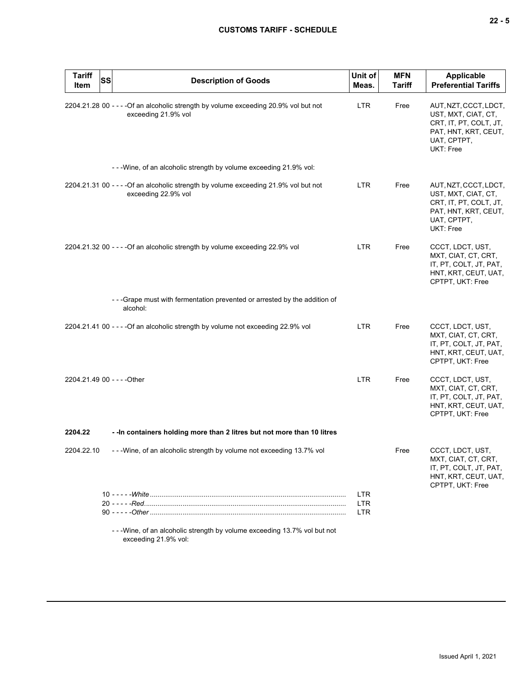|  |  | ×<br>۰. |
|--|--|---------|
|--|--|---------|

| <b>Tariff</b><br><b>SS</b><br>Item | <b>Description of Goods</b>                                                                                 | Unit of<br>Meas.                       | <b>MFN</b><br>Tariff | Applicable<br><b>Preferential Tariffs</b>                                                                                  |
|------------------------------------|-------------------------------------------------------------------------------------------------------------|----------------------------------------|----------------------|----------------------------------------------------------------------------------------------------------------------------|
|                                    | 2204.21.28 00 - - - - Of an alcoholic strength by volume exceeding 20.9% vol but not<br>exceeding 21.9% vol | <b>LTR</b>                             | Free                 | AUT, NZT, CCCT, LDCT,<br>UST, MXT, CIAT, CT,<br>CRT, IT, PT, COLT, JT,<br>PAT, HNT, KRT, CEUT,<br>UAT, CPTPT,<br>UKT: Free |
|                                    | - - - Wine, of an alcoholic strength by volume exceeding 21.9% vol:                                         |                                        |                      |                                                                                                                            |
|                                    | 2204.21.31 00 - - - - Of an alcoholic strength by volume exceeding 21.9% vol but not<br>exceeding 22.9% vol | <b>LTR</b>                             | Free                 | AUT, NZT, CCCT, LDCT,<br>UST, MXT, CIAT, CT,<br>CRT, IT, PT, COLT, JT,<br>PAT, HNT, KRT, CEUT,<br>UAT, CPTPT,<br>UKT: Free |
|                                    | 2204.21.32 00 - - - - Of an alcoholic strength by volume exceeding 22.9% vol                                | <b>LTR</b>                             | Free                 | CCCT, LDCT, UST,<br>MXT, CIAT, CT, CRT,<br>IT, PT, COLT, JT, PAT,<br>HNT, KRT, CEUT, UAT,<br>CPTPT, UKT: Free              |
|                                    | - - - Grape must with fermentation prevented or arrested by the addition of<br>alcohol:                     |                                        |                      |                                                                                                                            |
|                                    | 2204.21.41 00 - - - - Of an alcoholic strength by volume not exceeding 22.9% vol                            | <b>LTR</b>                             | Free                 | CCCT, LDCT, UST,<br>MXT, CIAT, CT, CRT,<br>IT, PT, COLT, JT, PAT,<br>HNT, KRT, CEUT, UAT,<br>CPTPT, UKT: Free              |
| 2204.21.49 00 - - - - Other        |                                                                                                             | <b>LTR</b>                             | Free                 | CCCT, LDCT, UST,<br>MXT, CIAT, CT, CRT,<br>IT, PT, COLT, JT, PAT,<br>HNT, KRT, CEUT, UAT,<br>CPTPT, UKT: Free              |
| 2204.22                            | - - In containers holding more than 2 litres but not more than 10 litres                                    |                                        |                      |                                                                                                                            |
| 2204.22.10                         | - - - Wine, of an alcoholic strength by volume not exceeding 13.7% vol                                      |                                        | Free                 | CCCT, LDCT, UST,<br>MXT, CIAT, CT, CRT,<br>IT, PT, COLT, JT, PAT,<br>HNT, KRT, CEUT, UAT,<br>CPTPT, UKT: Free              |
|                                    |                                                                                                             | <b>LTR</b><br><b>LTR</b><br><b>LTR</b> |                      |                                                                                                                            |
|                                    | - - - Wine, of an alcoholic strength by volume exceeding 13.7% vol but not                                  |                                        |                      |                                                                                                                            |

exceeding 21.9% vol: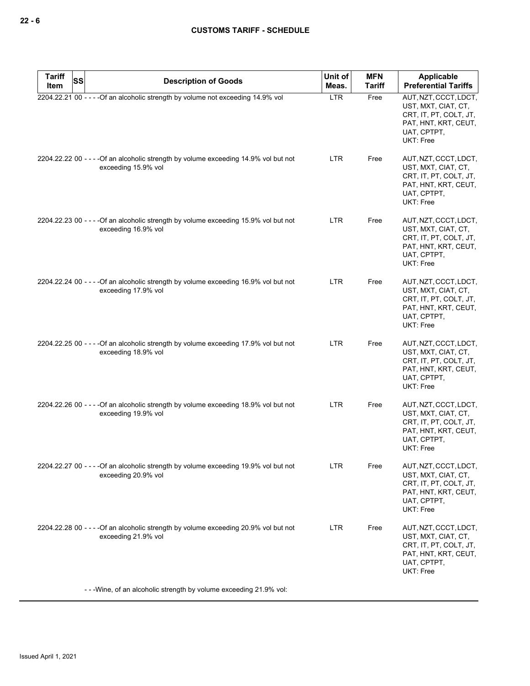| <b>Tariff</b><br>SS<br>Item | <b>Description of Goods</b>                                                                                 | Unit of<br>Meas. | <b>MFN</b><br><b>Tariff</b> | Applicable<br><b>Preferential Tariffs</b>                                                                                  |
|-----------------------------|-------------------------------------------------------------------------------------------------------------|------------------|-----------------------------|----------------------------------------------------------------------------------------------------------------------------|
|                             | 2204.22.21 00 - - - - Of an alcoholic strength by volume not exceeding 14.9% vol                            | <b>LTR</b>       | Free                        | AUT, NZT, CCCT, LDCT,<br>UST, MXT, CIAT, CT,<br>CRT, IT, PT, COLT, JT,<br>PAT, HNT, KRT, CEUT,<br>UAT, CPTPT,<br>UKT: Free |
|                             | 2204.22.22 00 - - - - Of an alcoholic strength by volume exceeding 14.9% vol but not<br>exceeding 15.9% vol | LTR.             | Free                        | AUT, NZT, CCCT, LDCT,<br>UST, MXT, CIAT, CT,<br>CRT, IT, PT, COLT, JT,<br>PAT, HNT, KRT, CEUT,<br>UAT, CPTPT,<br>UKT: Free |
|                             | 2204.22.23 00 - - - - Of an alcoholic strength by volume exceeding 15.9% vol but not<br>exceeding 16.9% vol | <b>LTR</b>       | Free                        | AUT, NZT, CCCT, LDCT,<br>UST, MXT, CIAT, CT,<br>CRT, IT, PT, COLT, JT,<br>PAT, HNT, KRT, CEUT,<br>UAT, CPTPT,<br>UKT: Free |
|                             | 2204.22.24 00 - - - - Of an alcoholic strength by volume exceeding 16.9% vol but not<br>exceeding 17.9% vol | LTR.             | Free                        | AUT, NZT, CCCT, LDCT,<br>UST, MXT, CIAT, CT,<br>CRT, IT, PT, COLT, JT,<br>PAT, HNT, KRT, CEUT,<br>UAT, CPTPT,<br>UKT: Free |
|                             | 2204.22.25 00 - - - - Of an alcoholic strength by volume exceeding 17.9% vol but not<br>exceeding 18.9% vol | LTR              | Free                        | AUT, NZT, CCCT, LDCT,<br>UST, MXT, CIAT, CT,<br>CRT, IT, PT, COLT, JT,<br>PAT, HNT, KRT, CEUT,<br>UAT, CPTPT,<br>UKT: Free |
|                             | 2204.22.26 00 - - - - Of an alcoholic strength by volume exceeding 18.9% vol but not<br>exceeding 19.9% vol | LTR              | Free                        | AUT, NZT, CCCT, LDCT,<br>UST, MXT, CIAT, CT,<br>CRT, IT, PT, COLT, JT,<br>PAT, HNT, KRT, CEUT,<br>UAT, CPTPT,<br>UKT: Free |
|                             | 2204.22.27 00 - - - - Of an alcoholic strength by volume exceeding 19.9% vol but not<br>exceeding 20.9% vol | <b>LTR</b>       | Free                        | AUT, NZT, CCCT, LDCT,<br>UST, MXT, CIAT, CT,<br>CRT, IT, PT, COLT, JT,<br>PAT, HNT, KRT, CEUT,<br>UAT, CPTPT,<br>UKT: Free |
|                             | 2204.22.28 00 - - - - Of an alcoholic strength by volume exceeding 20.9% vol but not<br>exceeding 21.9% vol | LTR.             | Free                        | AUT, NZT, CCCT, LDCT,<br>UST, MXT, CIAT, CT,<br>CRT, IT, PT, COLT, JT,<br>PAT, HNT, KRT, CEUT,<br>UAT, CPTPT,<br>UKT: Free |
|                             | - - - Wine, of an alcoholic strength by volume exceeding 21.9% vol:                                         |                  |                             |                                                                                                                            |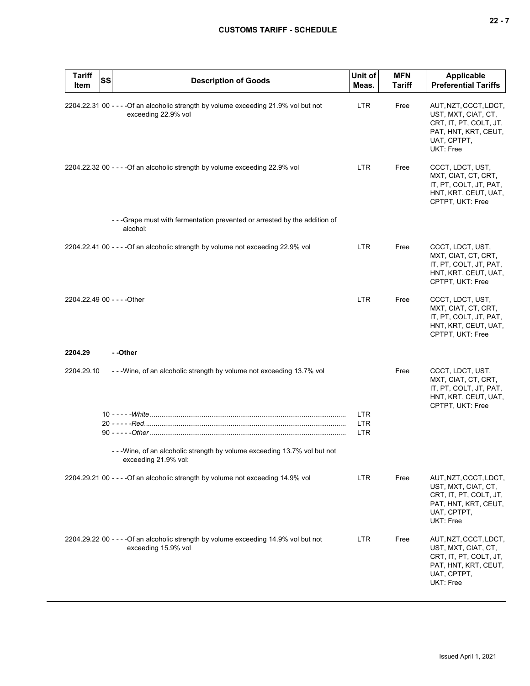|--|--|--|

| <b>Tariff</b><br>Item       | <b>SS</b> | <b>Description of Goods</b>                                                                                 | Unit of<br>Meas.                       | <b>MFN</b><br><b>Tariff</b> | Applicable<br><b>Preferential Tariffs</b>                                                                                  |
|-----------------------------|-----------|-------------------------------------------------------------------------------------------------------------|----------------------------------------|-----------------------------|----------------------------------------------------------------------------------------------------------------------------|
|                             |           | 2204.22.31 00 - - - - Of an alcoholic strength by volume exceeding 21.9% vol but not<br>exceeding 22.9% vol | <b>LTR</b>                             | Free                        | AUT, NZT, CCCT, LDCT,<br>UST, MXT, CIAT, CT,<br>CRT, IT, PT, COLT, JT,<br>PAT, HNT, KRT, CEUT,<br>UAT, CPTPT,<br>UKT: Free |
|                             |           | 2204.22.32 00 - - - - Of an alcoholic strength by volume exceeding 22.9% vol                                | <b>LTR</b>                             | Free                        | CCCT, LDCT, UST,<br>MXT, CIAT, CT, CRT,<br>IT, PT, COLT, JT, PAT,<br>HNT, KRT, CEUT, UAT,<br>CPTPT, UKT: Free              |
|                             |           | - - - Grape must with fermentation prevented or arrested by the addition of<br>alcohol:                     |                                        |                             |                                                                                                                            |
|                             |           | 2204.22.41 00 - - - - Of an alcoholic strength by volume not exceeding 22.9% vol                            | <b>LTR</b>                             | Free                        | CCCT, LDCT, UST,<br>MXT, CIAT, CT, CRT,<br>IT, PT, COLT, JT, PAT,<br>HNT, KRT, CEUT, UAT,<br>CPTPT, UKT: Free              |
| 2204.22.49 00 - - - - Other |           |                                                                                                             | <b>LTR</b>                             | Free                        | CCCT, LDCT, UST,<br>MXT, CIAT, CT, CRT,<br>IT, PT, COLT, JT, PAT,<br>HNT, KRT, CEUT, UAT,<br>CPTPT, UKT: Free              |
| 2204.29                     |           | --Other                                                                                                     |                                        |                             |                                                                                                                            |
| 2204.29.10                  |           | - - - Wine, of an alcoholic strength by volume not exceeding 13.7% vol                                      |                                        | Free                        | CCCT, LDCT, UST,<br>MXT, CIAT, CT, CRT,<br>IT, PT, COLT, JT, PAT,<br>HNT, KRT, CEUT, UAT,                                  |
|                             |           | - - - Wine, of an alcoholic strength by volume exceeding 13.7% vol but not                                  | <b>LTR</b><br><b>LTR</b><br><b>LTR</b> |                             | CPTPT, UKT: Free                                                                                                           |
|                             |           | exceeding 21.9% vol:                                                                                        |                                        |                             |                                                                                                                            |
|                             |           | 2204.29.21 00 - - - - Of an alcoholic strength by volume not exceeding 14.9% vol                            | <b>LTR</b>                             | Free                        | AUT, NZT, CCCT, LDCT,<br>UST, MXT, CIAT, CT,<br>CRT, IT, PT, COLT, JT,<br>PAT, HNT, KRT, CEUT,<br>UAT, CPTPT,<br>UKT: Free |
|                             |           | 2204.29.22 00 - - - - Of an alcoholic strength by volume exceeding 14.9% vol but not<br>exceeding 15.9% vol | <b>LTR</b>                             | Free                        | AUT, NZT, CCCT, LDCT,<br>UST, MXT, CIAT, CT,<br>CRT, IT, PT, COLT, JT,<br>PAT, HNT, KRT, CEUT,<br>UAT, CPTPT,<br>UKT: Free |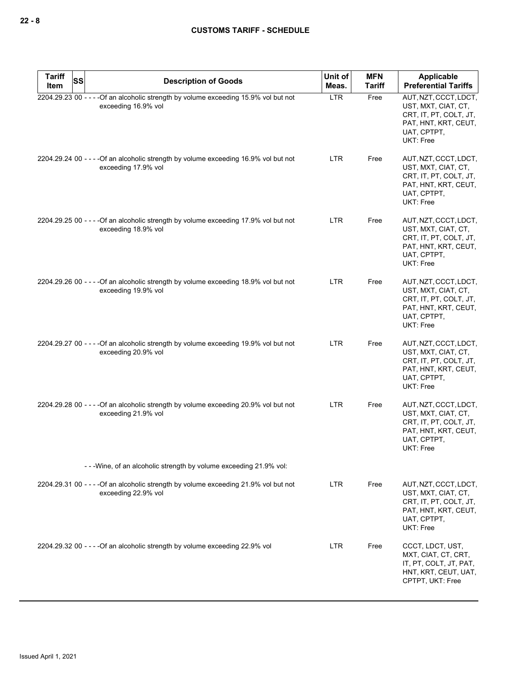| <b>Tariff</b><br><b>SS</b><br>Item | <b>Description of Goods</b>                                                                                 | Unit of<br>Meas. | <b>MFN</b><br><b>Tariff</b> | Applicable<br><b>Preferential Tariffs</b>                                                                                  |
|------------------------------------|-------------------------------------------------------------------------------------------------------------|------------------|-----------------------------|----------------------------------------------------------------------------------------------------------------------------|
|                                    | 2204.29.23 00 - - - - Of an alcoholic strength by volume exceeding 15.9% vol but not<br>exceeding 16.9% vol | <b>LTR</b>       | Free                        | AUT, NZT, CCCT, LDCT,<br>UST, MXT, CIAT, CT,<br>CRT, IT, PT, COLT, JT,<br>PAT, HNT, KRT, CEUT,<br>UAT, CPTPT,<br>UKT: Free |
|                                    | 2204.29.24 00 - - - - Of an alcoholic strength by volume exceeding 16.9% vol but not<br>exceeding 17.9% vol | <b>LTR</b>       | Free                        | AUT, NZT, CCCT, LDCT,<br>UST, MXT, CIAT, CT,<br>CRT, IT, PT, COLT, JT,<br>PAT, HNT, KRT, CEUT,<br>UAT, CPTPT,<br>UKT: Free |
|                                    | 2204.29.25 00 - - - - Of an alcoholic strength by volume exceeding 17.9% vol but not<br>exceeding 18.9% vol | <b>LTR</b>       | Free                        | AUT, NZT, CCCT, LDCT,<br>UST, MXT, CIAT, CT,<br>CRT, IT, PT, COLT, JT,<br>PAT, HNT, KRT, CEUT,<br>UAT, CPTPT,<br>UKT: Free |
|                                    | 2204.29.26 00 - - - - Of an alcoholic strength by volume exceeding 18.9% vol but not<br>exceeding 19.9% vol | <b>LTR</b>       | Free                        | AUT, NZT, CCCT, LDCT,<br>UST, MXT, CIAT, CT,<br>CRT, IT, PT, COLT, JT,<br>PAT, HNT, KRT, CEUT,<br>UAT, CPTPT,<br>UKT: Free |
|                                    | 2204.29.27 00 - - - - Of an alcoholic strength by volume exceeding 19.9% vol but not<br>exceeding 20.9% vol | <b>LTR</b>       | Free                        | AUT, NZT, CCCT, LDCT,<br>UST, MXT, CIAT, CT,<br>CRT, IT, PT, COLT, JT,<br>PAT, HNT, KRT, CEUT,<br>UAT, CPTPT,<br>UKT: Free |
|                                    | 2204.29.28 00 - - - - Of an alcoholic strength by volume exceeding 20.9% vol but not<br>exceeding 21.9% vol | <b>LTR</b>       | Free                        | AUT, NZT, CCCT, LDCT,<br>UST, MXT, CIAT, CT,<br>CRT, IT, PT, COLT, JT,<br>PAT, HNT, KRT, CEUT,<br>UAT, CPTPT,<br>UKT: Free |
|                                    | - - - Wine, of an alcoholic strength by volume exceeding 21.9% vol:                                         |                  |                             |                                                                                                                            |
|                                    | 2204.29.31 00 - - - - Of an alcoholic strength by volume exceeding 21.9% vol but not<br>exceeding 22.9% vol | LTR              | Free                        | AUT, NZT, CCCT, LDCT,<br>UST, MXT, CIAT, CT,<br>CRT, IT, PT, COLT, JT,<br>PAT, HNT, KRT, CEUT,<br>UAT, CPTPT,<br>UKT: Free |
|                                    | 2204.29.32 00 - - - - Of an alcoholic strength by volume exceeding 22.9% vol                                | <b>LTR</b>       | Free                        | CCCT, LDCT, UST,<br>MXT, CIAT, CT, CRT,<br>IT, PT, COLT, JT, PAT,<br>HNT, KRT, CEUT, UAT,<br>CPTPT, UKT: Free              |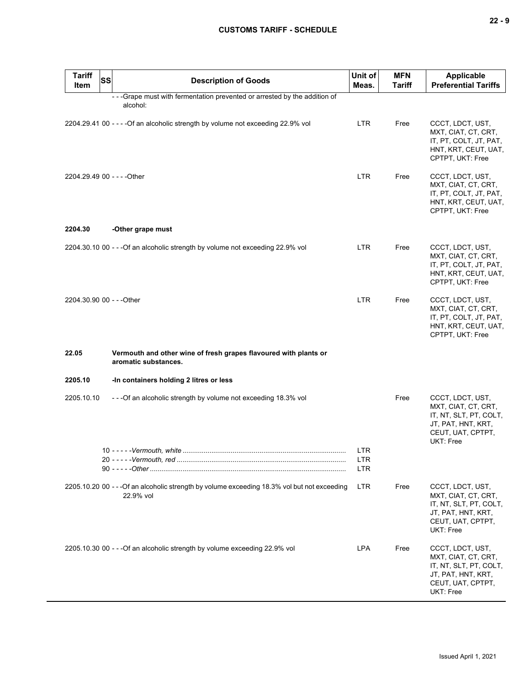| <b>Tariff</b><br><b>SS</b><br>Item | <b>Description of Goods</b>                                                                               | Unit of<br>Meas.   | <b>MFN</b><br><b>Tariff</b> | <b>Applicable</b><br><b>Preferential Tariffs</b>                                                                          |
|------------------------------------|-----------------------------------------------------------------------------------------------------------|--------------------|-----------------------------|---------------------------------------------------------------------------------------------------------------------------|
|                                    | --Grape must with fermentation prevented or arrested by the addition of<br>alcohol:                       |                    |                             |                                                                                                                           |
|                                    | 2204.29.41 00 - - - - Of an alcoholic strength by volume not exceeding 22.9% vol                          | <b>LTR</b>         | Free                        | CCCT, LDCT, UST,<br>MXT, CIAT, CT, CRT,<br>IT, PT, COLT, JT, PAT,<br>HNT, KRT, CEUT, UAT,<br>CPTPT, UKT: Free             |
| 2204.29.49 00 - - - - Other        |                                                                                                           | <b>LTR</b>         | Free                        | CCCT, LDCT, UST,<br>MXT, CIAT, CT, CRT,<br>IT, PT, COLT, JT, PAT,<br>HNT, KRT, CEUT, UAT,<br>CPTPT, UKT: Free             |
| 2204.30                            | -Other grape must                                                                                         |                    |                             |                                                                                                                           |
|                                    | 2204.30.10 00 - - - Of an alcoholic strength by volume not exceeding 22.9% vol                            | <b>LTR</b>         | Free                        | CCCT, LDCT, UST,<br>MXT, CIAT, CT, CRT,<br>IT, PT, COLT, JT, PAT,<br>HNT, KRT, CEUT, UAT,<br>CPTPT, UKT: Free             |
| 2204.30.90 00 - - - Other          |                                                                                                           | <b>LTR</b>         | Free                        | CCCT, LDCT, UST,<br>MXT, CIAT, CT, CRT,<br>IT, PT, COLT, JT, PAT,<br>HNT, KRT, CEUT, UAT,<br>CPTPT, UKT: Free             |
| 22.05                              | Vermouth and other wine of fresh grapes flavoured with plants or<br>aromatic substances.                  |                    |                             |                                                                                                                           |
| 2205.10                            | -In containers holding 2 litres or less                                                                   |                    |                             |                                                                                                                           |
| 2205.10.10                         | - - - Of an alcoholic strength by volume not exceeding 18.3% vol                                          |                    | Free                        | CCCT, LDCT, UST,<br>MXT, CIAT, CT, CRT,<br>IT, NT, SLT, PT, COLT,<br>JT, PAT, HNT, KRT,<br>CEUT, UAT, CPTPT,<br>UKT: Free |
|                                    |                                                                                                           | <b>LTR</b>         |                             |                                                                                                                           |
|                                    |                                                                                                           | LTR.<br><b>LTR</b> |                             |                                                                                                                           |
|                                    | 2205.10.20 00 - - - Of an alcoholic strength by volume exceeding 18.3% vol but not exceeding<br>22.9% vol | LTR.               | Free                        | CCCT, LDCT, UST,<br>MXT, CIAT, CT, CRT,<br>IT, NT, SLT, PT, COLT,<br>JT, PAT, HNT, KRT,<br>CEUT, UAT, CPTPT,<br>UKT: Free |
|                                    | 2205.10.30 00 - - - Of an alcoholic strength by volume exceeding 22.9% vol                                | <b>LPA</b>         | Free                        | CCCT, LDCT, UST,<br>MXT, CIAT, CT, CRT,<br>IT, NT, SLT, PT, COLT,<br>JT, PAT, HNT, KRT,<br>CEUT, UAT, CPTPT,<br>UKT: Free |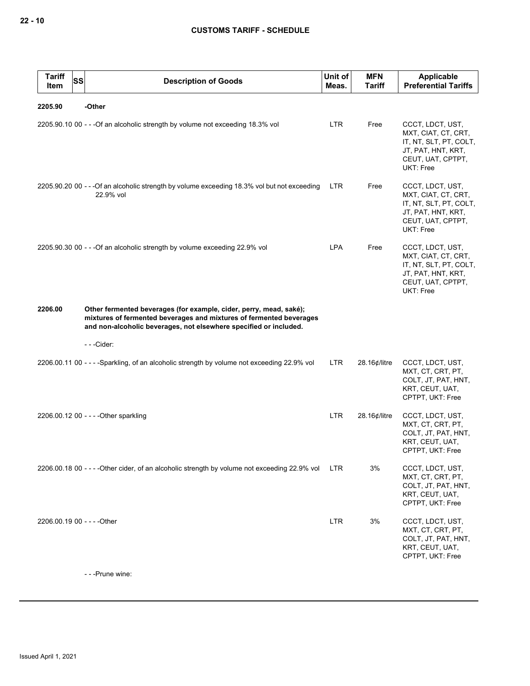| <b>Tariff</b><br>SS<br>Item | <b>Description of Goods</b>                                                                                                                                                                                    | Unit of<br>Meas. | <b>MFN</b><br>Tariff | Applicable<br><b>Preferential Tariffs</b>                                                                                 |
|-----------------------------|----------------------------------------------------------------------------------------------------------------------------------------------------------------------------------------------------------------|------------------|----------------------|---------------------------------------------------------------------------------------------------------------------------|
| 2205.90                     | -Other                                                                                                                                                                                                         |                  |                      |                                                                                                                           |
|                             | 2205.90.10 00 - - - Of an alcoholic strength by volume not exceeding 18.3% vol                                                                                                                                 | <b>LTR</b>       | Free                 | CCCT, LDCT, UST,<br>MXT, CIAT, CT, CRT,<br>IT, NT, SLT, PT, COLT,<br>JT, PAT, HNT, KRT,<br>CEUT, UAT, CPTPT,<br>UKT: Free |
|                             | 2205.90.20 00 - - - Of an alcoholic strength by volume exceeding 18.3% vol but not exceeding<br>22.9% vol                                                                                                      | <b>LTR</b>       | Free                 | CCCT, LDCT, UST,<br>MXT, CIAT, CT, CRT,<br>IT, NT, SLT, PT, COLT,<br>JT, PAT, HNT, KRT,<br>CEUT, UAT, CPTPT,<br>UKT: Free |
|                             | 2205.90.30 00 - - - Of an alcoholic strength by volume exceeding 22.9% vol                                                                                                                                     | LPA              | Free                 | CCCT, LDCT, UST,<br>MXT, CIAT, CT, CRT,<br>IT, NT, SLT, PT, COLT,<br>JT, PAT, HNT, KRT,<br>CEUT, UAT, CPTPT,<br>UKT: Free |
| 2206.00                     | Other fermented beverages (for example, cider, perry, mead, saké);<br>mixtures of fermented beverages and mixtures of fermented beverages<br>and non-alcoholic beverages, not elsewhere specified or included. |                  |                      |                                                                                                                           |
|                             | ---Cider:                                                                                                                                                                                                      |                  |                      |                                                                                                                           |
|                             | 2206.00.11 00 - - - - Sparkling, of an alcoholic strength by volume not exceeding 22.9% vol                                                                                                                    | LTR              | 28.16¢/litre         | CCCT, LDCT, UST,<br>MXT, CT, CRT, PT,<br>COLT, JT, PAT, HNT,<br>KRT, CEUT, UAT,<br>CPTPT, UKT: Free                       |
|                             | 2206.00.12 00 - - - - Other sparkling                                                                                                                                                                          | <b>LTR</b>       | 28.16¢/litre         | CCCT, LDCT, UST,<br>MXT, CT, CRT, PT,<br>COLT, JT, PAT, HNT,<br>KRT, CEUT, UAT,<br>CPTPT, UKT: Free                       |
|                             | 2206.00.18 00 - - - - Other cider, of an alcoholic strength by volume not exceeding 22.9% vol                                                                                                                  | LTR.             | 3%                   | CCCT, LDCT, UST,<br>MXT, CT, CRT, PT,<br>COLT, JT, PAT, HNT,<br>KRT, CEUT, UAT,<br>CPTPT, UKT: Free                       |
| 2206.00.19 00 - - - - Other |                                                                                                                                                                                                                | <b>LTR</b>       | 3%                   | CCCT, LDCT, UST,<br>MXT, CT, CRT, PT,<br>COLT, JT, PAT, HNT,<br>KRT, CEUT, UAT,<br>CPTPT, UKT: Free                       |

- - -Prune wine: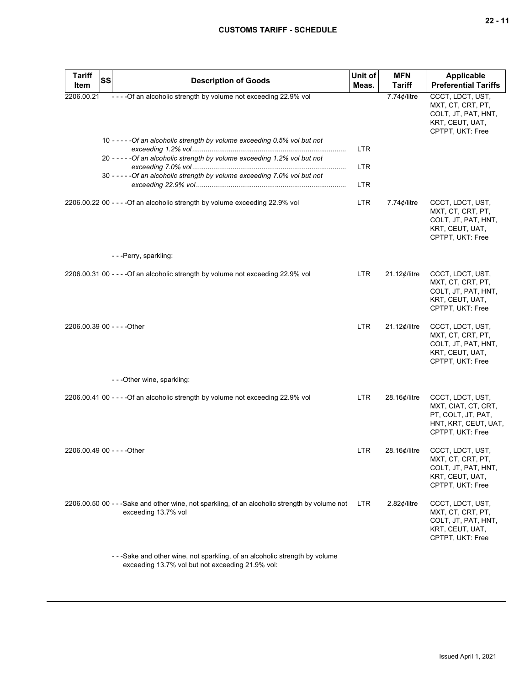|--|--|

| <b>Tariff</b>               | <b>SS</b> | <b>Description of Goods</b>                                                                                                     | Unit of    | <b>MFN</b>             | <b>Applicable</b>                                                                                         |
|-----------------------------|-----------|---------------------------------------------------------------------------------------------------------------------------------|------------|------------------------|-----------------------------------------------------------------------------------------------------------|
| Item                        |           |                                                                                                                                 | Meas.      | <b>Tariff</b>          | <b>Preferential Tariffs</b>                                                                               |
| 2206.00.21                  |           | ----Of an alcoholic strength by volume not exceeding 22.9% vol                                                                  |            | 7.74¢/litre            | CCCT, LDCT, UST,<br>MXT, CT, CRT, PT,<br>COLT, JT, PAT, HNT,<br>KRT, CEUT, UAT,<br>CPTPT, UKT: Free       |
|                             |           | 10 - - - - - Of an alcoholic strength by volume exceeding 0.5% vol but not                                                      | <b>LTR</b> |                        |                                                                                                           |
|                             |           | 20 - - - - - Of an alcoholic strength by volume exceeding 1.2% vol but not                                                      | <b>LTR</b> |                        |                                                                                                           |
|                             |           | 30 - - - - - Of an alcoholic strength by volume exceeding 7.0% vol but not                                                      | <b>LTR</b> |                        |                                                                                                           |
|                             |           | 2206.00.22 00 - - - - Of an alcoholic strength by volume exceeding 22.9% vol                                                    | <b>LTR</b> | $7.74$ ¢/litre         | CCCT, LDCT, UST,<br>MXT, CT, CRT, PT,<br>COLT, JT, PAT, HNT,<br>KRT, CEUT, UAT,<br>CPTPT, UKT: Free       |
|                             |           | ---Perry, sparkling:                                                                                                            |            |                        |                                                                                                           |
|                             |           | 2206.00.31 00 - - - - Of an alcoholic strength by volume not exceeding 22.9% vol                                                | LTR.       | $21.12$ ¢/litre        | CCCT, LDCT, UST,<br>MXT, CT, CRT, PT,<br>COLT, JT, PAT, HNT,<br>KRT, CEUT, UAT,<br>CPTPT, UKT: Free       |
| 2206.00.39 00 - - - - Other |           |                                                                                                                                 | <b>LTR</b> | $21.12$ ¢/litre        | CCCT, LDCT, UST,<br>MXT, CT, CRT, PT,<br>COLT, JT, PAT, HNT,<br>KRT, CEUT, UAT,<br>CPTPT, UKT: Free       |
|                             |           | ---Other wine, sparkling:                                                                                                       |            |                        |                                                                                                           |
|                             |           | 2206.00.41 00 - - - - Of an alcoholic strength by volume not exceeding 22.9% vol                                                | <b>LTR</b> | 28.16¢/litre           | CCCT, LDCT, UST,<br>MXT, CIAT, CT, CRT,<br>PT, COLT, JT, PAT,<br>HNT, KRT, CEUT, UAT,<br>CPTPT, UKT: Free |
| 2206.00.49 00 - - - - Other |           |                                                                                                                                 | LTR.       | 28.16¢/litre           | CCCT, LDCT, UST,<br>MXT, CT, CRT, PT,<br>COLT, JT, PAT, HNT,<br>KRT, CEUT, UAT,<br>CPTPT, UKT: Free       |
|                             |           | 2206.00.50 00 - - -Sake and other wine, not sparkling, of an alcoholic strength by volume not<br>exceeding 13.7% vol            | LTR.       | $2.82$ <i>¢</i> /litre | CCCT, LDCT, UST,<br>MXT, CT, CRT, PT,<br>COLT, JT, PAT, HNT,<br>KRT, CEUT, UAT,<br>CPTPT, UKT: Free       |
|                             |           | - - -Sake and other wine, not sparkling, of an alcoholic strength by volume<br>exceeding 13.7% vol but not exceeding 21.9% vol: |            |                        |                                                                                                           |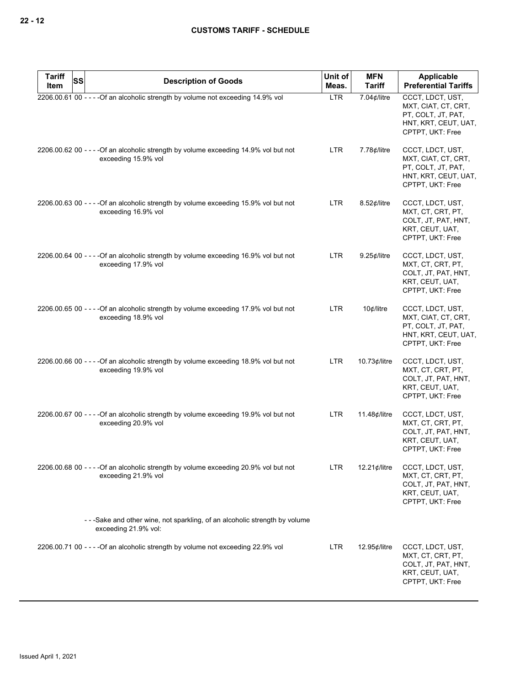| <b>Tariff</b> | <b>SS</b> | <b>Description of Goods</b>                                                                                 | Unit of<br><b>MFN</b> |                     | Applicable                                                                                                |
|---------------|-----------|-------------------------------------------------------------------------------------------------------------|-----------------------|---------------------|-----------------------------------------------------------------------------------------------------------|
| Item          |           |                                                                                                             | Meas.                 | <b>Tariff</b>       | <b>Preferential Tariffs</b>                                                                               |
|               |           | 2206.00.61 00 - - - - Of an alcoholic strength by volume not exceeding 14.9% vol                            | <b>LTR</b>            | 7.04 $¢$ /litre     | CCCT, LDCT, UST,<br>MXT, CIAT, CT, CRT,<br>PT, COLT, JT, PAT,<br>HNT, KRT, CEUT, UAT,<br>CPTPT, UKT: Free |
|               |           | 2206.00.62 00 - - - - Of an alcoholic strength by volume exceeding 14.9% vol but not<br>exceeding 15.9% vol | <b>LTR</b>            | $7.78$ ¢/litre      | CCCT, LDCT, UST,<br>MXT, CIAT, CT, CRT,<br>PT, COLT, JT, PAT,<br>HNT, KRT, CEUT, UAT,<br>CPTPT, UKT: Free |
|               |           | 2206.00.63 00 - - - - Of an alcoholic strength by volume exceeding 15.9% vol but not<br>exceeding 16.9% vol | <b>LTR</b>            | $8.52$ ¢/litre      | CCCT, LDCT, UST,<br>MXT, CT, CRT, PT,<br>COLT, JT, PAT, HNT,<br>KRT, CEUT, UAT,<br>CPTPT, UKT: Free       |
|               |           | 2206.00.64 00 - - - - Of an alcoholic strength by volume exceeding 16.9% vol but not<br>exceeding 17.9% vol | LTR                   | $9.25$ ¢/litre      | CCCT, LDCT, UST,<br>MXT, CT, CRT, PT,<br>COLT, JT, PAT, HNT,<br>KRT, CEUT, UAT,<br>CPTPT, UKT: Free       |
|               |           | 2206.00.65 00 - - - - Of an alcoholic strength by volume exceeding 17.9% vol but not<br>exceeding 18.9% vol | <b>LTR</b>            | $10$ ¢/litre        | CCCT, LDCT, UST,<br>MXT, CIAT, CT, CRT,<br>PT, COLT, JT, PAT,<br>HNT, KRT, CEUT, UAT,<br>CPTPT, UKT: Free |
|               |           | 2206.00.66 00 - - - - Of an alcoholic strength by volume exceeding 18.9% vol but not<br>exceeding 19.9% vol | <b>LTR</b>            | 10.73 $\phi$ /litre | CCCT, LDCT, UST,<br>MXT, CT, CRT, PT,<br>COLT, JT, PAT, HNT,<br>KRT, CEUT, UAT,<br>CPTPT, UKT: Free       |
|               |           | 2206.00.67 00 - - - - Of an alcoholic strength by volume exceeding 19.9% vol but not<br>exceeding 20.9% vol | <b>LTR</b>            | 11.48 $¢$ /litre    | CCCT, LDCT, UST,<br>MXT, CT, CRT, PT,<br>COLT, JT, PAT, HNT,<br>KRT, CEUT, UAT,<br>CPTPT, UKT: Free       |
|               |           | 2206.00.68 00 - - - - Of an alcoholic strength by volume exceeding 20.9% vol but not<br>exceeding 21.9% vol | <b>LTR</b>            | 12.21 $\phi$ /litre | CCCT, LDCT, UST,<br>MXT, CT, CRT, PT,<br>COLT, JT, PAT, HNT,<br>KRT, CEUT, UAT,<br>CPTPT, UKT: Free       |
|               |           | -- Sake and other wine, not sparkling, of an alcoholic strength by volume<br>exceeding 21.9% vol:           |                       |                     |                                                                                                           |
|               |           | 2206.00.71 00 - - - - Of an alcoholic strength by volume not exceeding 22.9% vol                            | <b>LTR</b>            | 12.95¢/litre        | CCCT, LDCT, UST,<br>MXT, CT, CRT, PT,<br>COLT, JT, PAT, HNT,<br>KRT, CEUT, UAT,<br>CPTPT, UKT: Free       |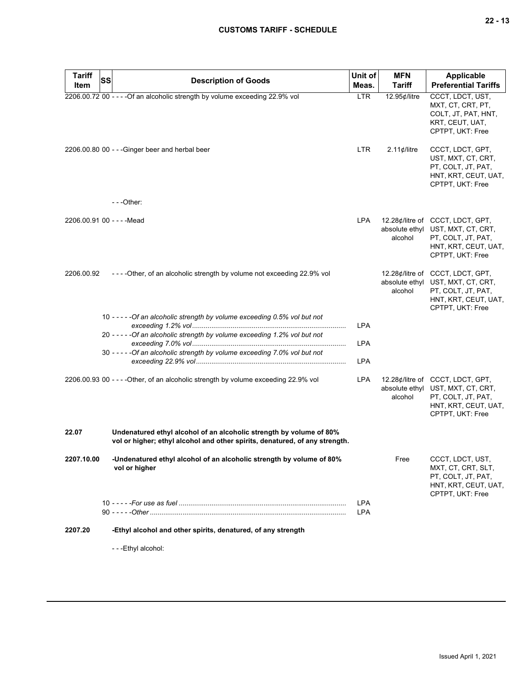# **CUSTOMS TARIFF - SCHEDULE**

| <b>Tariff</b>              | SS | <b>Description of Goods</b>                                                                                                                        | Unit of                  | <b>MFN</b>                | Applicable                                                                                                                              |
|----------------------------|----|----------------------------------------------------------------------------------------------------------------------------------------------------|--------------------------|---------------------------|-----------------------------------------------------------------------------------------------------------------------------------------|
| <b>Item</b>                |    |                                                                                                                                                    | Meas.                    | Tariff                    | <b>Preferential Tariffs</b>                                                                                                             |
|                            |    | 2206.00.72 00 - - - - Of an alcoholic strength by volume exceeding 22.9% vol                                                                       | <b>LTR</b>               | 12.95¢/litre              | CCCT, LDCT, UST,<br>MXT, CT, CRT, PT,<br>COLT, JT, PAT, HNT,<br>KRT, CEUT, UAT,<br>CPTPT, UKT: Free                                     |
|                            |    | 2206.00.80 00 - - - Ginger beer and herbal beer                                                                                                    | <b>LTR</b>               | $2.11$ ¢/litre            | CCCT, LDCT, GPT,<br>UST, MXT, CT, CRT,<br>PT, COLT, JT, PAT,<br>HNT, KRT, CEUT, UAT,<br>CPTPT, UKT: Free                                |
|                            |    | ---Other:                                                                                                                                          |                          |                           |                                                                                                                                         |
| 2206.00.91 00 - - - - Mead |    |                                                                                                                                                    | <b>LPA</b>               | alcohol                   | 12.28¢/litre of CCCT, LDCT, GPT,<br>absolute ethyl UST, MXT, CT, CRT,<br>PT, COLT, JT, PAT,<br>HNT, KRT, CEUT, UAT,<br>CPTPT, UKT: Free |
| 2206.00.92                 |    | ----Other, of an alcoholic strength by volume not exceeding 22.9% vol                                                                              |                          | absolute ethyl<br>alcohol | 12.28¢/litre of CCCT, LDCT, GPT,<br>UST, MXT, CT, CRT,<br>PT, COLT, JT, PAT,<br>HNT, KRT, CEUT, UAT,<br>CPTPT, UKT: Free                |
|                            |    | 10 - - - - - Of an alcoholic strength by volume exceeding 0.5% vol but not                                                                         | <b>LPA</b>               |                           |                                                                                                                                         |
|                            |    | 20 - - - - - Of an alcoholic strength by volume exceeding 1.2% vol but not                                                                         | <b>LPA</b>               |                           |                                                                                                                                         |
|                            |    | 30 - - - - - Of an alcoholic strength by volume exceeding 7.0% vol but not                                                                         | <b>LPA</b>               |                           |                                                                                                                                         |
|                            |    | 2206.00.93 00 - - - - Other, of an alcoholic strength by volume exceeding 22.9% vol                                                                | <b>LPA</b>               | absolute ethyl<br>alcohol | 12.28¢/litre of CCCT, LDCT, GPT,<br>UST, MXT, CT, CRT,<br>PT, COLT, JT, PAT,<br>HNT, KRT, CEUT, UAT,<br>CPTPT, UKT: Free                |
| 22.07                      |    | Undenatured ethyl alcohol of an alcoholic strength by volume of 80%<br>vol or higher; ethyl alcohol and other spirits, denatured, of any strength. |                          |                           |                                                                                                                                         |
| 2207.10.00                 |    | -Undenatured ethyl alcohol of an alcoholic strength by volume of 80%<br>vol or higher                                                              |                          | Free                      | CCCT, LDCT, UST,<br>MXT, CT, CRT, SLT,<br>PT, COLT, JT, PAT,<br>HNT, KRT, CEUT, UAT,<br>CPTPT, UKT: Free                                |
|                            |    |                                                                                                                                                    | <b>LPA</b><br><b>LPA</b> |                           |                                                                                                                                         |
| 2207.20                    |    | -Ethyl alcohol and other spirits, denatured, of any strength                                                                                       |                          |                           |                                                                                                                                         |
|                            |    | - - -Ethyl alcohol:                                                                                                                                |                          |                           |                                                                                                                                         |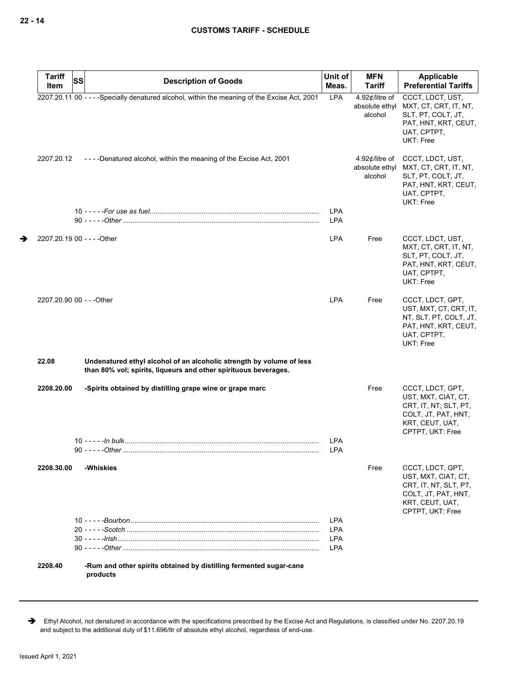| <b>Tariff</b>               | <b>SS</b> | <b>Description of Goods</b>                                                                                                             | Unit of                  | <b>MFN</b>                                  | Applicable                                                                                                                         |
|-----------------------------|-----------|-----------------------------------------------------------------------------------------------------------------------------------------|--------------------------|---------------------------------------------|------------------------------------------------------------------------------------------------------------------------------------|
| Item                        |           |                                                                                                                                         | Meas.                    | <b>Tariff</b>                               | <b>Preferential Tariffs</b>                                                                                                        |
|                             |           | 2207.20.11 00 - - - - Specially denatured alcohol, within the meaning of the Excise Act, 2001                                           | LPA                      | 4.92¢/litre of<br>absolute ethyl<br>alcohol | CCCT, LDCT, UST,<br>MXT, CT, CRT, IT, NT,<br>SLT, PT, COLT, JT,<br>PAT, HNT, KRT, CEUT,<br>UAT, CPTPT,<br>UKT: Free                |
| 2207.20.12                  |           | ----Denatured alcohol, within the meaning of the Excise Act, 2001                                                                       |                          | 4.92¢/litre of<br>alcohol                   | CCCT, LDCT, UST,<br>absolute ethyl MXT, CT, CRT, IT, NT,<br>SLT, PT, COLT, JT,<br>PAT, HNT, KRT, CEUT,<br>UAT, CPTPT,<br>UKT: Free |
|                             |           |                                                                                                                                         | <b>LPA</b><br><b>LPA</b> |                                             |                                                                                                                                    |
| 2207.20.19 00 - - - - Other |           |                                                                                                                                         | <b>LPA</b>               | Free                                        | CCCT, LDCT, UST,<br>MXT, CT, CRT, IT, NT,<br>SLT, PT, COLT, JT,<br>PAT, HNT, KRT, CEUT,<br>UAT, CPTPT,<br>UKT: Free                |
| 2207.20.90 00 - - - Other   |           |                                                                                                                                         | <b>LPA</b>               | Free                                        | CCCT, LDCT, GPT,<br>UST, MXT, CT, CRT, IT,<br>NT, SLT, PT, COLT, JT,<br>PAT, HNT, KRT, CEUT,<br>UAT, CPTPT,<br>UKT: Free           |
| 22.08                       |           | Undenatured ethyl alcohol of an alcoholic strength by volume of less<br>than 80% vol; spirits, liqueurs and other spirituous beverages. |                          |                                             |                                                                                                                                    |
| 2208.20.00                  |           | -Spirits obtained by distilling grape wine or grape marc                                                                                | LPA<br><b>LPA</b>        | Free                                        | CCCT, LDCT, GPT,<br>UST, MXT, CIAT, CT,<br>CRT, IT, NT, SLT, PT,<br>COLT, JT, PAT, HNT,<br>KRT, CEUT, UAT,<br>CPTPT, UKT: Free     |
| 2208.30.00                  |           | -Whiskies                                                                                                                               |                          | Free                                        | CCCT, LDCT, GPT,<br>UST, MXT, CIAT, CT,<br>CRT, IT, NT, SLT, PT,<br>COLT, JT, PAT, HNT,<br>KRT, CEUT, UAT,<br>CPTPT, UKT: Free     |
|                             |           |                                                                                                                                         | <b>LPA</b>               |                                             |                                                                                                                                    |
|                             |           |                                                                                                                                         | <b>LPA</b>               |                                             |                                                                                                                                    |
|                             |           |                                                                                                                                         | <b>LPA</b>               |                                             |                                                                                                                                    |
|                             |           |                                                                                                                                         | <b>LPA</b>               |                                             |                                                                                                                                    |
| 2208.40                     |           | -Rum and other spirits obtained by distilling fermented sugar-cane<br>products                                                          |                          |                                             |                                                                                                                                    |

Ethyl Alcohol, not denatured in accordance with the specifications prescribed by the Excise Act and Regulations, is classified under No. 2207.20.19 and subject to the additional duty of \$11.696/ltr of absolute ethyl alcohol, regardless of end-use.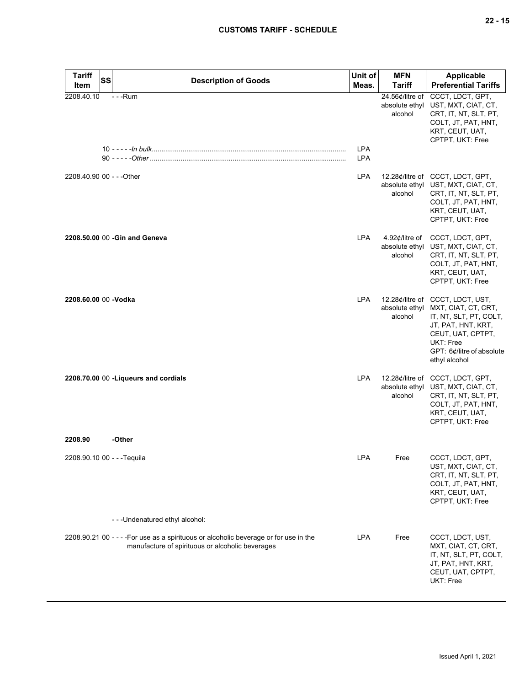# **CUSTOMS TARIFF - SCHEDULE**

| <b>Tariff</b><br>Item       | <b>SS</b> | <b>Description of Goods</b>                                                                                                               | Unit of<br>Meas.         | <b>MFN</b><br><b>Tariff</b>                  | <b>Applicable</b><br><b>Preferential Tariffs</b>                                                                                                                                        |
|-----------------------------|-----------|-------------------------------------------------------------------------------------------------------------------------------------------|--------------------------|----------------------------------------------|-----------------------------------------------------------------------------------------------------------------------------------------------------------------------------------------|
| 2208.40.10                  |           | $- -$ Rum                                                                                                                                 | <b>LPA</b><br><b>LPA</b> | 24.56¢/litre of<br>absolute ethyl<br>alcohol | CCCT, LDCT, GPT,<br>UST, MXT, CIAT, CT,<br>CRT, IT, NT, SLT, PT,<br>COLT, JT, PAT, HNT,<br>KRT, CEUT, UAT,<br>CPTPT, UKT: Free                                                          |
| 2208.40.90 00 - - - Other   |           |                                                                                                                                           | <b>LPA</b>               | alcohol                                      | 12.28¢/litre of CCCT, LDCT, GPT,<br>absolute ethyl UST, MXT, CIAT, CT,<br>CRT, IT, NT, SLT, PT,<br>COLT, JT, PAT, HNT,<br>KRT, CEUT, UAT,<br>CPTPT, UKT: Free                           |
|                             |           | 2208.50.00 00 - Gin and Geneva                                                                                                            | <b>LPA</b>               | 4.92¢/litre of<br>absolute ethyl<br>alcohol  | CCCT, LDCT, GPT,<br>UST, MXT, CIAT, CT,<br>CRT, IT, NT, SLT, PT,<br>COLT, JT, PAT, HNT,<br>KRT, CEUT, UAT,<br>CPTPT, UKT: Free                                                          |
| 2208.60.00 00 -Vodka        |           |                                                                                                                                           | <b>LPA</b>               | absolute ethyl<br>alcohol                    | 12.28¢/litre of CCCT, LDCT, UST,<br>MXT, CIAT, CT, CRT,<br>IT, NT, SLT, PT, COLT,<br>JT, PAT, HNT, KRT,<br>CEUT, UAT, CPTPT,<br>UKT: Free<br>GPT: 6¢/litre of absolute<br>ethyl alcohol |
|                             |           | 2208.70.00 00 - Liqueurs and cordials                                                                                                     | <b>LPA</b>               | alcohol                                      | 12.28¢/litre of CCCT, LDCT, GPT,<br>absolute ethyl UST, MXT, CIAT, CT,<br>CRT, IT, NT, SLT, PT,<br>COLT, JT, PAT, HNT,<br>KRT, CEUT, UAT,<br>CPTPT, UKT: Free                           |
| 2208.90                     |           | -Other                                                                                                                                    |                          |                                              |                                                                                                                                                                                         |
| 2208.90.10 00 - - - Tequila |           |                                                                                                                                           | LPA                      | Free                                         | CCCT, LDCT, GPT,<br>UST, MXT, CIAT, CT,<br>CRT, IT, NT, SLT, PT,<br>COLT, JT, PAT, HNT,<br>KRT, CEUT, UAT,<br>CPTPT, UKT: Free                                                          |
|                             |           | ---Undenatured ethyl alcohol:                                                                                                             |                          |                                              |                                                                                                                                                                                         |
|                             |           | 2208.90.21 00 - - - - For use as a spirituous or alcoholic beverage or for use in the<br>manufacture of spirituous or alcoholic beverages | <b>LPA</b>               | Free                                         | CCCT, LDCT, UST,<br>MXT, CIAT, CT, CRT,<br>IT, NT, SLT, PT, COLT,<br>JT, PAT, HNT, KRT,<br>CEUT, UAT, CPTPT,<br>UKT: Free                                                               |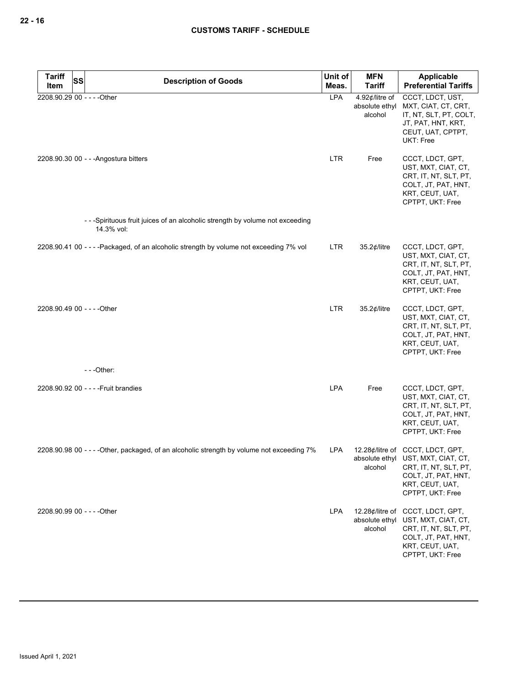| <b>Tariff</b><br>Item | SS<br><b>Description of Goods</b>                                                          | Unit of<br>Meas. | <b>MFN</b><br><b>Tariff</b> | Applicable<br><b>Preferential Tariffs</b>                                                                                                                     |
|-----------------------|--------------------------------------------------------------------------------------------|------------------|-----------------------------|---------------------------------------------------------------------------------------------------------------------------------------------------------------|
|                       | 2208.90.29 00 - - - - Other                                                                | <b>LPA</b>       | 4.92¢/litre of              | CCCT, LDCT, UST,                                                                                                                                              |
|                       |                                                                                            |                  | absolute ethyl<br>alcohol   | MXT, CIAT, CT, CRT,<br>IT, NT, SLT, PT, COLT,<br>JT, PAT, HNT, KRT,<br>CEUT, UAT, CPTPT,<br>UKT: Free                                                         |
|                       | 2208.90.30 00 - - - Angostura bitters                                                      | <b>LTR</b>       | Free                        | CCCT, LDCT, GPT,<br>UST, MXT, CIAT, CT,<br>CRT, IT, NT, SLT, PT,<br>COLT, JT, PAT, HNT,<br>KRT, CEUT, UAT,<br>CPTPT, UKT: Free                                |
|                       | -- Spirituous fruit juices of an alcoholic strength by volume not exceeding<br>14.3% vol:  |                  |                             |                                                                                                                                                               |
|                       | 2208.90.41 00 - - - - Packaged, of an alcoholic strength by volume not exceeding 7% vol    | <b>LTR</b>       | 35.2 $¢$ /litre             | CCCT, LDCT, GPT,<br>UST, MXT, CIAT, CT,<br>CRT, IT, NT, SLT, PT,<br>COLT, JT, PAT, HNT,<br>KRT, CEUT, UAT,<br>CPTPT, UKT: Free                                |
|                       | 2208.90.49 00 - - - - Other                                                                | <b>LTR</b>       | $35.2$ ¢/litre              | CCCT, LDCT, GPT,<br>UST, MXT, CIAT, CT,<br>CRT, IT, NT, SLT, PT,<br>COLT, JT, PAT, HNT,<br>KRT, CEUT, UAT,<br>CPTPT, UKT: Free                                |
|                       | - - -Other:                                                                                |                  |                             |                                                                                                                                                               |
|                       | 2208.90.92 00 - - - - Fruit brandies                                                       | LPA              | Free                        | CCCT, LDCT, GPT,<br>UST, MXT, CIAT, CT,<br>CRT, IT, NT, SLT, PT,<br>COLT, JT, PAT, HNT,<br>KRT, CEUT, UAT,<br>CPTPT, UKT: Free                                |
|                       | 2208.90.98 00 - - - - Other, packaged, of an alcoholic strength by volume not exceeding 7% | LPA              | alcohol                     | 12.28¢/litre of CCCT, LDCT, GPT,<br>absolute ethyl UST, MXT, CIAT, CT,<br>CRT, IT, NT, SLT, PT,<br>COLT, JT, PAT, HNT,<br>KRT, CEUT, UAT,<br>CPTPT, UKT: Free |
|                       | 2208.90.99 00 - - - - Other                                                                | <b>LPA</b>       | absolute ethyl<br>alcohol   | 12.28¢/litre of CCCT, LDCT, GPT,<br>UST, MXT, CIAT, CT,<br>CRT, IT, NT, SLT, PT,<br>COLT, JT, PAT, HNT,<br>KRT, CEUT, UAT,<br>CPTPT, UKT: Free                |